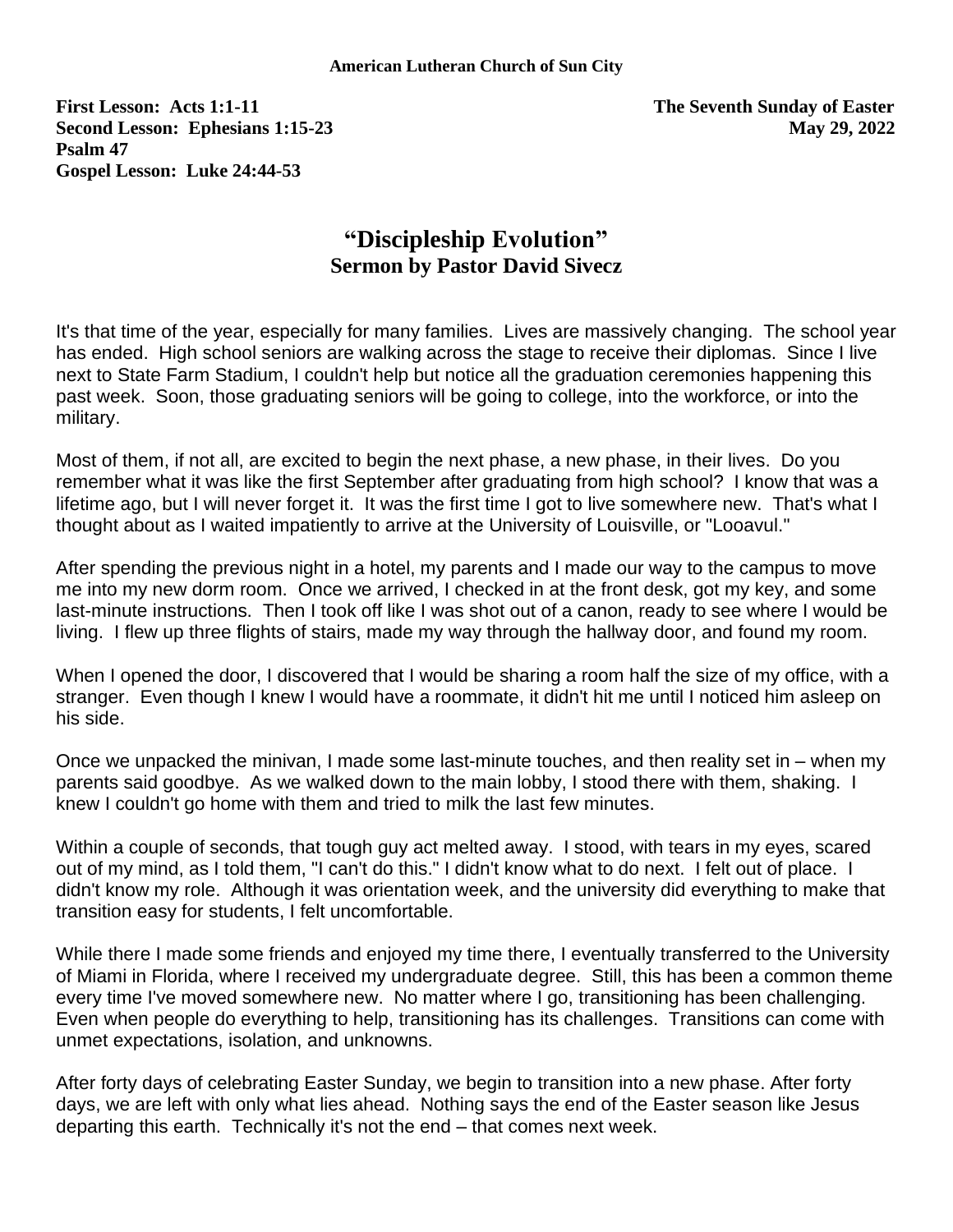**First Lesson: Acts 1:1-11 The Seventh Sunday of Easter Second Lesson: Ephesians 1:15-23 May 29, 2022 Psalm 47 Gospel Lesson: Luke 24:44-53**

## **"Discipleship Evolution" Sermon by Pastor David Sivecz**

It's that time of the year, especially for many families. Lives are massively changing. The school year has ended. High school seniors are walking across the stage to receive their diplomas. Since I live next to State Farm Stadium, I couldn't help but notice all the graduation ceremonies happening this past week. Soon, those graduating seniors will be going to college, into the workforce, or into the military.

Most of them, if not all, are excited to begin the next phase, a new phase, in their lives. Do you remember what it was like the first September after graduating from high school? I know that was a lifetime ago, but I will never forget it. It was the first time I got to live somewhere new. That's what I thought about as I waited impatiently to arrive at the University of Louisville, or "Looavul."

After spending the previous night in a hotel, my parents and I made our way to the campus to move me into my new dorm room. Once we arrived, I checked in at the front desk, got my key, and some last-minute instructions. Then I took off like I was shot out of a canon, ready to see where I would be living. I flew up three flights of stairs, made my way through the hallway door, and found my room.

When I opened the door, I discovered that I would be sharing a room half the size of my office, with a stranger. Even though I knew I would have a roommate, it didn't hit me until I noticed him asleep on his side.

Once we unpacked the minivan, I made some last-minute touches, and then reality set in – when my parents said goodbye. As we walked down to the main lobby, I stood there with them, shaking. I knew I couldn't go home with them and tried to milk the last few minutes.

Within a couple of seconds, that tough guy act melted away. I stood, with tears in my eyes, scared out of my mind, as I told them, "I can't do this." I didn't know what to do next. I felt out of place. I didn't know my role. Although it was orientation week, and the university did everything to make that transition easy for students, I felt uncomfortable.

While there I made some friends and enjoyed my time there, I eventually transferred to the University of Miami in Florida, where I received my undergraduate degree. Still, this has been a common theme every time I've moved somewhere new. No matter where I go, transitioning has been challenging. Even when people do everything to help, transitioning has its challenges. Transitions can come with unmet expectations, isolation, and unknowns.

After forty days of celebrating Easter Sunday, we begin to transition into a new phase. After forty days, we are left with only what lies ahead. Nothing says the end of the Easter season like Jesus departing this earth. Technically it's not the end – that comes next week.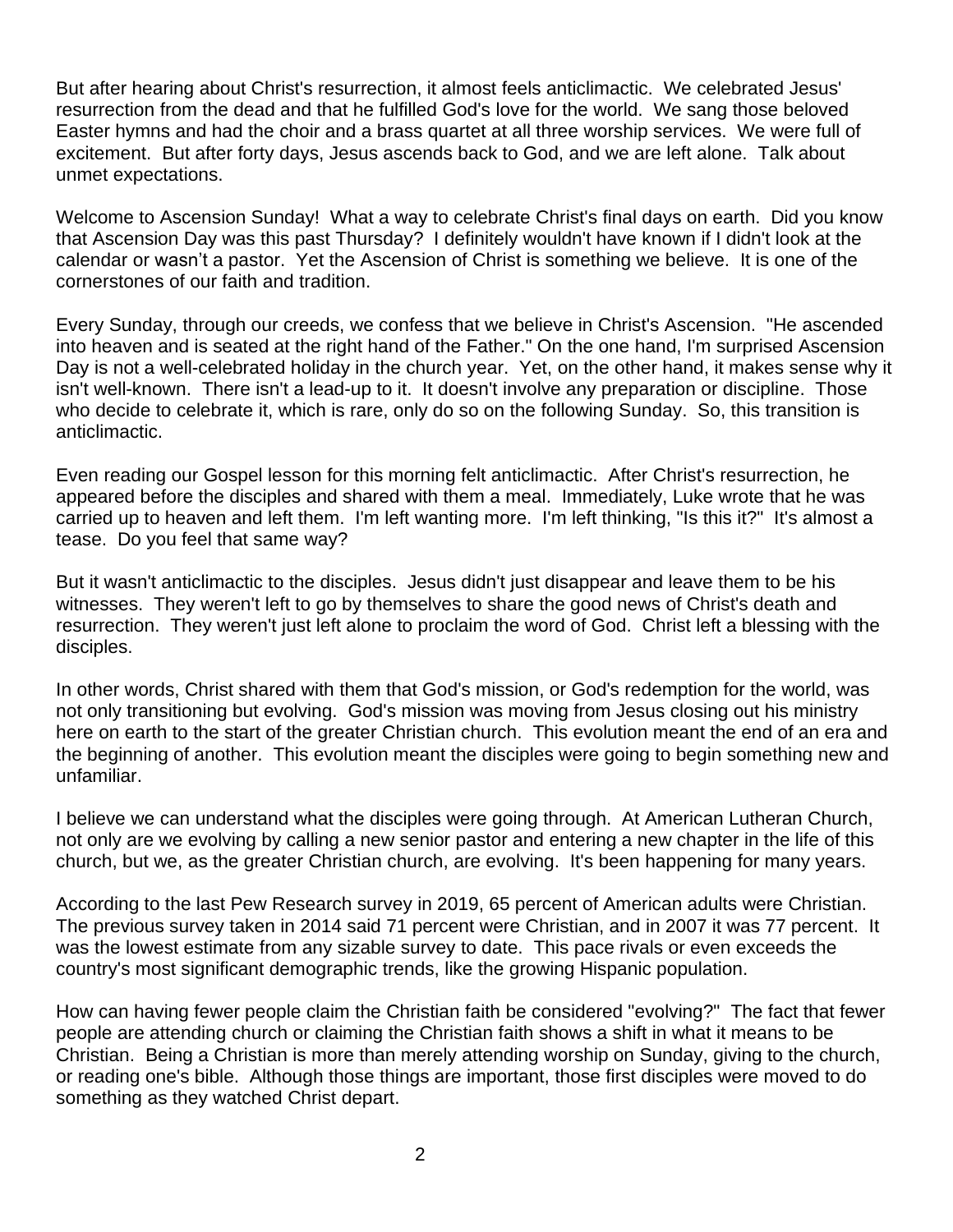But after hearing about Christ's resurrection, it almost feels anticlimactic. We celebrated Jesus' resurrection from the dead and that he fulfilled God's love for the world. We sang those beloved Easter hymns and had the choir and a brass quartet at all three worship services. We were full of excitement. But after forty days, Jesus ascends back to God, and we are left alone. Talk about unmet expectations.

Welcome to Ascension Sunday! What a way to celebrate Christ's final days on earth. Did you know that Ascension Day was this past Thursday? I definitely wouldn't have known if I didn't look at the calendar or wasn't a pastor. Yet the Ascension of Christ is something we believe. It is one of the cornerstones of our faith and tradition.

Every Sunday, through our creeds, we confess that we believe in Christ's Ascension. "He ascended into heaven and is seated at the right hand of the Father." On the one hand, I'm surprised Ascension Day is not a well-celebrated holiday in the church year. Yet, on the other hand, it makes sense why it isn't well-known. There isn't a lead-up to it. It doesn't involve any preparation or discipline. Those who decide to celebrate it, which is rare, only do so on the following Sunday. So, this transition is anticlimactic.

Even reading our Gospel lesson for this morning felt anticlimactic. After Christ's resurrection, he appeared before the disciples and shared with them a meal. Immediately, Luke wrote that he was carried up to heaven and left them. I'm left wanting more. I'm left thinking, "Is this it?" It's almost a tease. Do you feel that same way?

But it wasn't anticlimactic to the disciples. Jesus didn't just disappear and leave them to be his witnesses. They weren't left to go by themselves to share the good news of Christ's death and resurrection. They weren't just left alone to proclaim the word of God. Christ left a blessing with the disciples.

In other words, Christ shared with them that God's mission, or God's redemption for the world, was not only transitioning but evolving. God's mission was moving from Jesus closing out his ministry here on earth to the start of the greater Christian church. This evolution meant the end of an era and the beginning of another. This evolution meant the disciples were going to begin something new and unfamiliar.

I believe we can understand what the disciples were going through. At American Lutheran Church, not only are we evolving by calling a new senior pastor and entering a new chapter in the life of this church, but we, as the greater Christian church, are evolving. It's been happening for many years.

According to the last Pew Research survey in 2019, 65 percent of American adults were Christian. The previous survey taken in 2014 said 71 percent were Christian, and in 2007 it was 77 percent. It was the lowest estimate from any sizable survey to date. This pace rivals or even exceeds the country's most significant demographic trends, like the growing Hispanic population.

How can having fewer people claim the Christian faith be considered "evolving?" The fact that fewer people are attending church or claiming the Christian faith shows a shift in what it means to be Christian. Being a Christian is more than merely attending worship on Sunday, giving to the church, or reading one's bible. Although those things are important, those first disciples were moved to do something as they watched Christ depart.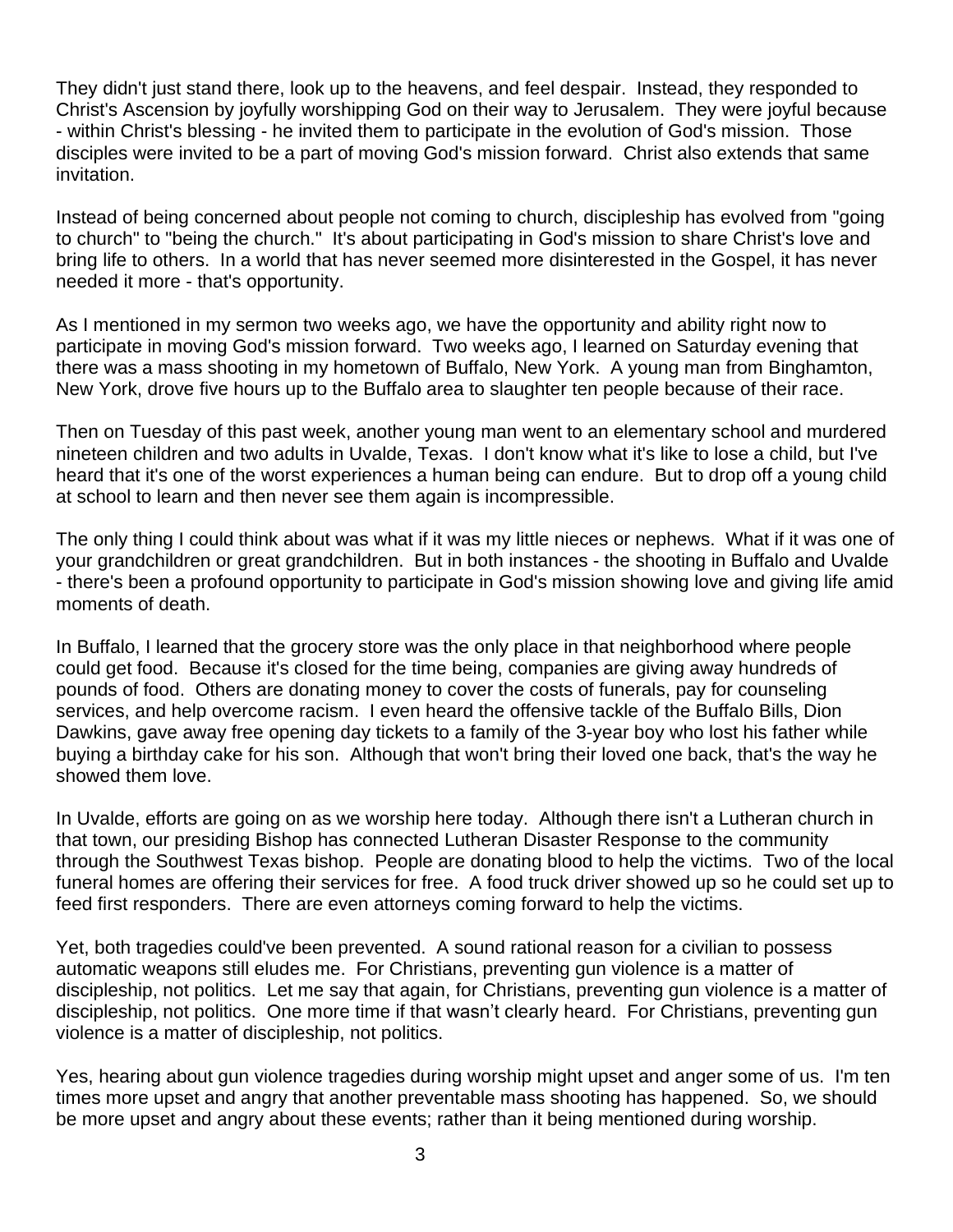They didn't just stand there, look up to the heavens, and feel despair. Instead, they responded to Christ's Ascension by joyfully worshipping God on their way to Jerusalem. They were joyful because - within Christ's blessing - he invited them to participate in the evolution of God's mission. Those disciples were invited to be a part of moving God's mission forward. Christ also extends that same invitation.

Instead of being concerned about people not coming to church, discipleship has evolved from "going to church" to "being the church." It's about participating in God's mission to share Christ's love and bring life to others. In a world that has never seemed more disinterested in the Gospel, it has never needed it more - that's opportunity.

As I mentioned in my sermon two weeks ago, we have the opportunity and ability right now to participate in moving God's mission forward. Two weeks ago, I learned on Saturday evening that there was a mass shooting in my hometown of Buffalo, New York. A young man from Binghamton, New York, drove five hours up to the Buffalo area to slaughter ten people because of their race.

Then on Tuesday of this past week, another young man went to an elementary school and murdered nineteen children and two adults in Uvalde, Texas. I don't know what it's like to lose a child, but I've heard that it's one of the worst experiences a human being can endure. But to drop off a young child at school to learn and then never see them again is incompressible.

The only thing I could think about was what if it was my little nieces or nephews. What if it was one of your grandchildren or great grandchildren. But in both instances - the shooting in Buffalo and Uvalde - there's been a profound opportunity to participate in God's mission showing love and giving life amid moments of death.

In Buffalo, I learned that the grocery store was the only place in that neighborhood where people could get food. Because it's closed for the time being, companies are giving away hundreds of pounds of food. Others are donating money to cover the costs of funerals, pay for counseling services, and help overcome racism. I even heard the offensive tackle of the Buffalo Bills, Dion Dawkins, gave away free opening day tickets to a family of the 3-year boy who lost his father while buying a birthday cake for his son. Although that won't bring their loved one back, that's the way he showed them love.

In Uvalde, efforts are going on as we worship here today. Although there isn't a Lutheran church in that town, our presiding Bishop has connected Lutheran Disaster Response to the community through the Southwest Texas bishop. People are donating blood to help the victims. Two of the local funeral homes are offering their services for free. A food truck driver showed up so he could set up to feed first responders. There are even attorneys coming forward to help the victims.

Yet, both tragedies could've been prevented. A sound rational reason for a civilian to possess automatic weapons still eludes me. For Christians, preventing gun violence is a matter of discipleship, not politics. Let me say that again, for Christians, preventing gun violence is a matter of discipleship, not politics. One more time if that wasn't clearly heard. For Christians, preventing gun violence is a matter of discipleship, not politics.

Yes, hearing about gun violence tragedies during worship might upset and anger some of us. I'm ten times more upset and angry that another preventable mass shooting has happened. So, we should be more upset and angry about these events; rather than it being mentioned during worship.